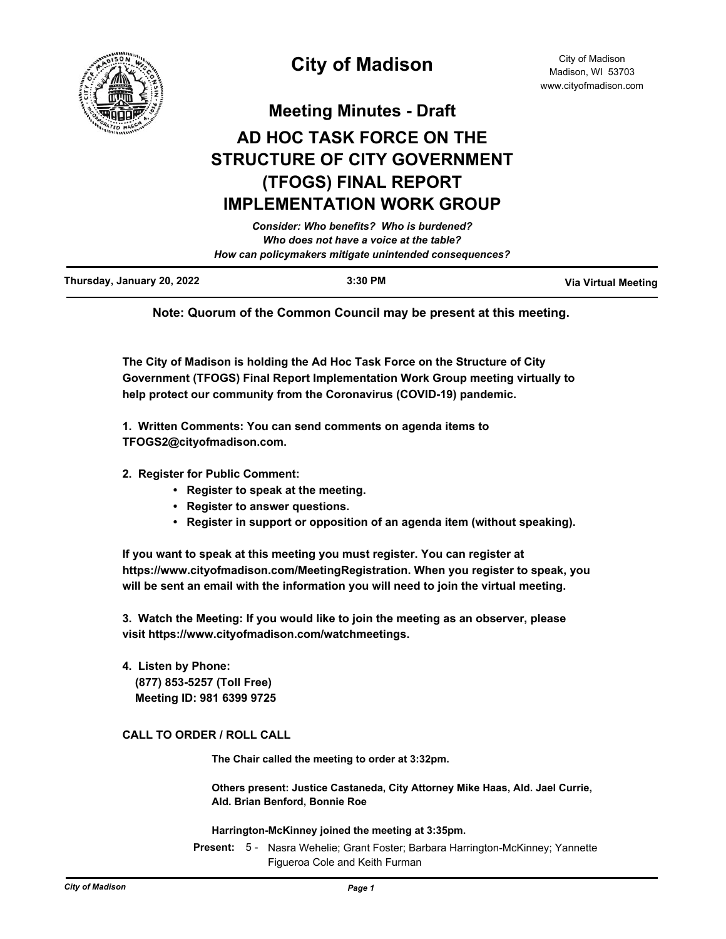

City of Madison Madison, WI 53703 www.cityofmadison.com

**Meeting Minutes - Draft**

# **AD HOC TASK FORCE ON THE STRUCTURE OF CITY GOVERNMENT (TFOGS) FINAL REPORT IMPLEMENTATION WORK GROUP**

*Consider: Who benefits? Who is burdened? Who does not have a voice at the table? How can policymakers mitigate unintended consequences?*

| Thursday, January 20, 2022 | 3:30 PM | <b>Via Virtual Meeting</b> |
|----------------------------|---------|----------------------------|
|                            |         |                            |

**Note: Quorum of the Common Council may be present at this meeting.**

**The City of Madison is holding the Ad Hoc Task Force on the Structure of City Government (TFOGS) Final Report Implementation Work Group meeting virtually to help protect our community from the Coronavirus (COVID-19) pandemic.**

**1. Written Comments: You can send comments on agenda items to TFOGS2@cityofmadison.com.**

- **2. Register for Public Comment:** 
	- **Register to speak at the meeting.**
	- **Register to answer questions.**
	- **Register in support or opposition of an agenda item (without speaking).**

**If you want to speak at this meeting you must register. You can register at https://www.cityofmadison.com/MeetingRegistration. When you register to speak, you will be sent an email with the information you will need to join the virtual meeting.**

**3. Watch the Meeting: If you would like to join the meeting as an observer, please visit https://www.cityofmadison.com/watchmeetings.**

**4. Listen by Phone: (877) 853-5257 (Toll Free) Meeting ID: 981 6399 9725**

## **CALL TO ORDER / ROLL CALL**

**The Chair called the meeting to order at 3:32pm.**

**Others present: Justice Castaneda, City Attorney Mike Haas, Ald. Jael Currie, Ald. Brian Benford, Bonnie Roe**

**Harrington-McKinney joined the meeting at 3:35pm.**

Present: 5 - Nasra Wehelie; Grant Foster; Barbara Harrington-McKinney; Yannette Figueroa Cole and Keith Furman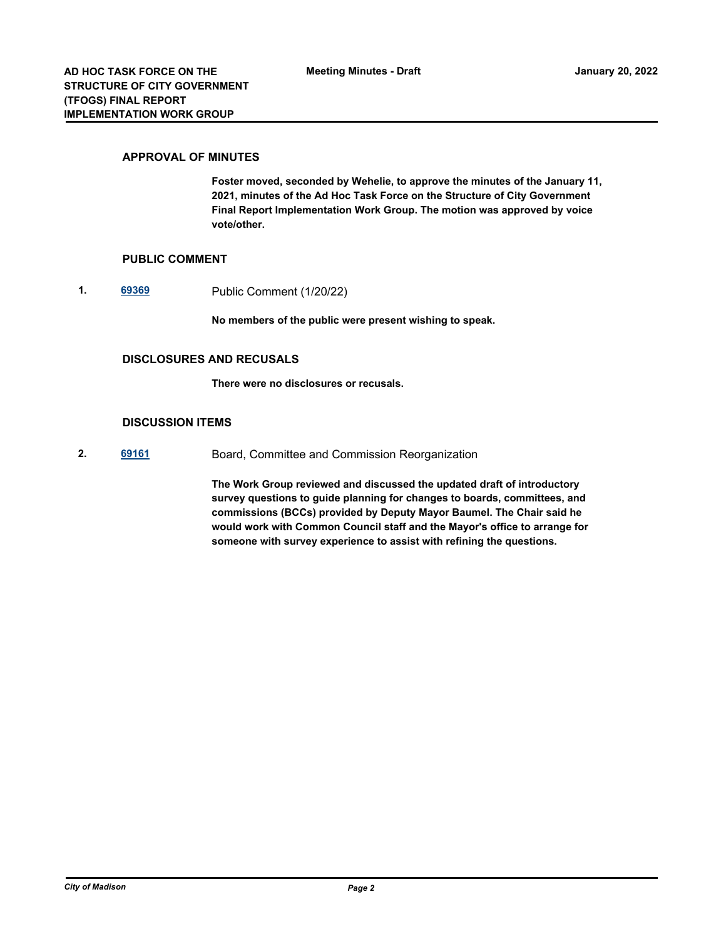#### **APPROVAL OF MINUTES**

**Foster moved, seconded by Wehelie, to approve the minutes of the January 11, 2021, minutes of the Ad Hoc Task Force on the Structure of City Government Final Report Implementation Work Group. The motion was approved by voice vote/other.**

#### **PUBLIC COMMENT**

**1. [69369](http://madison.legistar.com/gateway.aspx?m=l&id=/matter.aspx?key=80800)** Public Comment (1/20/22)

**No members of the public were present wishing to speak.**

### **DISCLOSURES AND RECUSALS**

**There were no disclosures or recusals.**

#### **DISCUSSION ITEMS**

**2. [69161](http://madison.legistar.com/gateway.aspx?m=l&id=/matter.aspx?key=80660)** Board, Committee and Commission Reorganization

**The Work Group reviewed and discussed the updated draft of introductory survey questions to guide planning for changes to boards, committees, and commissions (BCCs) provided by Deputy Mayor Baumel. The Chair said he would work with Common Council staff and the Mayor's office to arrange for someone with survey experience to assist with refining the questions.**